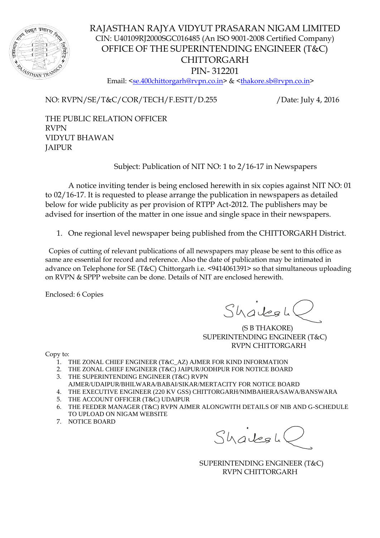

RAJASTHAN RAJYA VIDYUT PRASARAN NIGAM LIMITED CIN: U40109RJ2000SGC016485 (An ISO 9001-2008 Certified Company) OFFICE OF THE SUPERINTENDING ENGINEER (T&C) CHITTORGARH PIN- 312201 Email: [<se.400chittorgarh@rvpn.co.in>](mailto:se.400chittorgarh@rvpn.co.in) & [<thakore.sb@rvpn.co.in>](mailto:thakore.sb@rvpn.co.in)

NO: RVPN/SE/T&C/COR/TECH/F.ESTT/D.255 /Date: July 4, 2016

THE PUBLIC RELATION OFFICER RVPN VIDYUT BHAWAN JAIPUR

Subject: Publication of NIT NO: 1 to 2/16-17 in Newspapers

A notice inviting tender is being enclosed herewith in six copies against NIT NO: 01 to 02/16-17. It is requested to please arrange the publication in newspapers as detailed below for wide publicity as per provision of RTPP Act-2012. The publishers may be advised for insertion of the matter in one issue and single space in their newspapers.

1. One regional level newspaper being published from the CHITTORGARH District.

 Copies of cutting of relevant publications of all newspapers may please be sent to this office as same are essential for record and reference. Also the date of publication may be intimated in advance on Telephone for SE (T&C) Chittorgarh i.e. <9414061391> so that simultaneous uploading on RVPN & SPPP website can be done. Details of NIT are enclosed herewith.

Enclosed: 6 Copies

Shalesh

 (S B THAKORE) SUPERINTENDING ENGINEER (T&C) RVPN CHITTORGARH

Copy to:

- 1. THE ZONAL CHIEF ENGINEER (T&C\_AZ) AJMER FOR KIND INFORMATION
- 2. THE ZONAL CHIEF ENGINEER (T&C) JAIPUR/JODHPUR FOR NOTICE BOARD
- 3. THE SUPERINTENDING ENGINEER (T&C) RVPN
- AJMER/UDAIPUR/BHILWARA/BABAI/SIKAR/MERTACITY FOR NOTICE BOARD
- 4. THE EXECUTIVE ENGINEER (220 KV GSS) CHITTORGARH/NIMBAHERA/SAWA/BANSWARA
- 5. THE ACCOUNT OFFICER (T&C) UDAIPUR
- 6. THE FEEDER MANAGER (T&C) RVPN AJMER ALONGWITH DETAILS OF NIB AND G-SCHEDULE TO UPLOAD ON NIGAM WEBSITE
- 7. NOTICE BOARD

 $ShaleglC$ 

 SUPERINTENDING ENGINEER (T&C) RVPN CHITTORGARH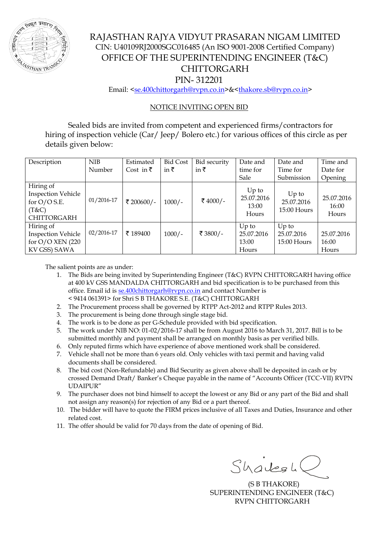

## RAJASTHAN RAJYA VIDYUT PRASARAN NIGAM LIMITED CIN: U40109RJ2000SGC016485 (An ISO 9001-2008 Certified Company) OFFICE OF THE SUPERINTENDING ENGINEER (T&C) CHITTORGARH PIN- 312201

Email: [<se.400chittorgarh@rvpn.co.in>](mailto:se.400chittorgarh@rvpn.co.in)&[<thakore.sb@rvpn.co.in>](mailto:thakore.sb@rvpn.co.in)

## NOTICE INVITING OPEN BID

Sealed bids are invited from competent and experienced firms/contractors for hiring of inspection vehicle (Car/ Jeep/ Bolero etc.) for various offices of this circle as per details given below:

| Description                                                                             | <b>NIB</b>     | Estimated         | <b>Bid Cost</b> | Bid security | Date and                                | Date and                               | Time and                     |
|-----------------------------------------------------------------------------------------|----------------|-------------------|-----------------|--------------|-----------------------------------------|----------------------------------------|------------------------------|
|                                                                                         | Number         | Cost in $\bar{z}$ | in $\bar{\tau}$ | in ₹         | time for                                | Time for                               | Date for                     |
|                                                                                         |                |                   |                 |              | Sale                                    | Submission                             | Opening                      |
| Hiring of<br><b>Inspection Vehicle</b><br>for $O/O$ S.E.<br>(T&C)<br><b>CHITTORGARH</b> | $01/2016 - 17$ | ₹ 200600/-        | $1000/-$        | ₹ 4000/-     | $Up$ to<br>25.07.2016<br>13:00<br>Hours | $Up$ to<br>25.07.2016<br>$15:00$ Hours | 25.07.2016<br>16:00<br>Hours |
| Hiring of<br><b>Inspection Vehicle</b><br>for $O/O$ XEN (220)<br>KV GSS) SAWA           | $02/2016 - 17$ | ₹ 189400          | $1000/-$        | ₹ 3800/-     | $Up$ to<br>25.07.2016<br>13:00<br>Hours | $Up$ to<br>25.07.2016<br>$15:00$ Hours | 25.07.2016<br>16:00<br>Hours |

The salient points are as under:

- 1. The Bids are being invited by Superintending Engineer (T&C) RVPN CHITTORGARH having office at 400 kV GSS MANDALDA CHITTORGARH and bid specification is to be purchased from this office. Email id is [se.400chittorgarh@rvpn.co.in](mailto:se.400chittorgarh@rvpn.co.in) and contact Number is < 9414 061391> for Shri S B THAKORE S.E. (T&C) CHITTORGARH
- 2. The Procurement process shall be governed by RTPP Act-2012 and RTPP Rules 2013.
- 3. The procurement is being done through single stage bid.
- 4. The work is to be done as per G-Schedule provided with bid specification.
- 5. The work under NIB NO: 01-02/2016-17 shall be from August 2016 to March 31, 2017. Bill is to be submitted monthly and payment shall be arranged on monthly basis as per verified bills.
- 6. Only reputed firms which have experience of above mentioned work shall be considered.
- 7. Vehicle shall not be more than 6 years old. Only vehicles with taxi permit and having valid documents shall be considered.
- 8. The bid cost (Non-Refundable) and Bid Security as given above shall be deposited in cash or by crossed Demand Draft/ Banker's Cheque payable in the name of "Accounts Officer (TCC-VII) RVPN UDAIPUR"
- 9. The purchaser does not bind himself to accept the lowest or any Bid or any part of the Bid and shall not assign any reason(s) for rejection of any Bid or a part thereof.
- 10. The bidder will have to quote the FIRM prices inclusive of all Taxes and Duties, Insurance and other related cost.
- 11. The offer should be valid for 70 days from the date of opening of Bid.

 $ShadesL$ 

 (S B THAKORE) SUPERINTENDING ENGINEER (T&C) RVPN CHITTORGARH